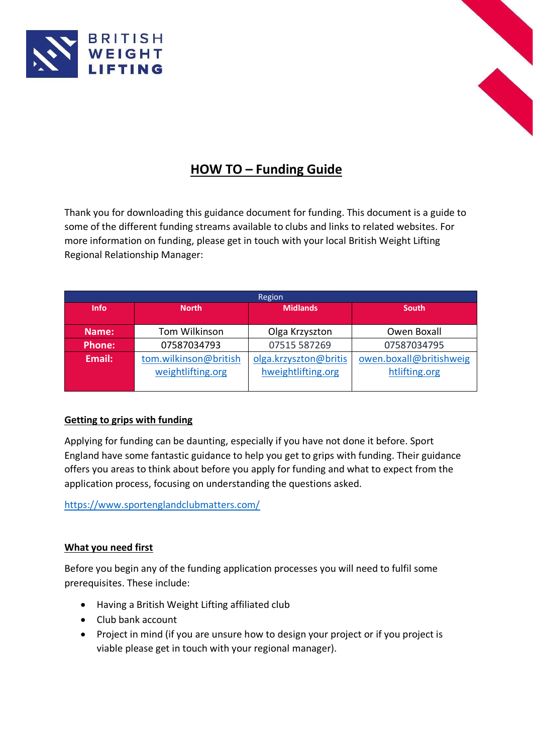



# **HOW TO – Funding Guide**

Thank you for downloading this guidance document for funding. This document is a guide to some of the different funding streams available to clubs and links to related websites. For more information on funding, please get in touch with your local British Weight Lifting Regional Relationship Manager:

| Region        |                       |                       |                         |  |  |
|---------------|-----------------------|-----------------------|-------------------------|--|--|
| <b>Info</b>   | <b>North</b>          | <b>Midlands</b>       | <b>South</b>            |  |  |
|               |                       |                       |                         |  |  |
| Name:         | Tom Wilkinson         | Olga Krzyszton        | Owen Boxall             |  |  |
| <b>Phone:</b> | 07587034793           | 07515 587269          | 07587034795             |  |  |
| Email:        | tom.wilkinson@british | olga.krzyszton@britis | owen.boxall@britishweig |  |  |
|               | weightlifting.org     | hweightlifting.org    | htlifting.org           |  |  |
|               |                       |                       |                         |  |  |

## **Getting to grips with funding**

Applying for funding can be daunting, especially if you have not done it before. Sport England have some fantastic guidance to help you get to grips with funding. Their guidance offers you areas to think about before you apply for funding and what to expect from the application process, focusing on understanding the questions asked.

<https://www.sportenglandclubmatters.com/>

## **What you need first**

Before you begin any of the funding application processes you will need to fulfil some prerequisites. These include:

- Having a British Weight Lifting affiliated club
- Club bank account
- Project in mind (if you are unsure how to design your project or if you project is viable please get in touch with your regional manager).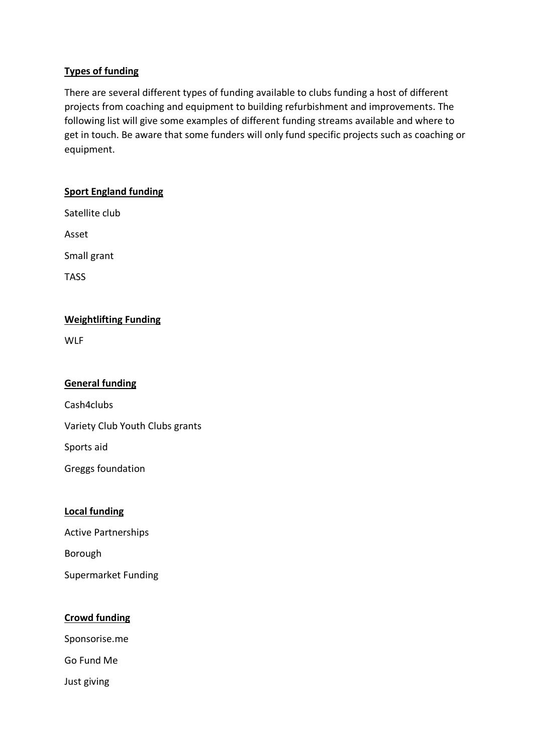## **Types of funding**

There are several different types of funding available to clubs funding a host of different projects from coaching and equipment to building refurbishment and improvements. The following list will give some examples of different funding streams available and where to get in touch. Be aware that some funders will only fund specific projects such as coaching or equipment.

# **Sport England funding**

Satellite club

Asset

Small grant

TASS

# **Weightlifting Funding**

**WLF** 

## **General funding**

Cash4clubs

Variety Club Youth Clubs grants

Sports aid

Greggs foundation

## **Local funding**

Active Partnerships

Borough

Supermarket Funding

## **Crowd funding**

Sponsorise.me

Go Fund Me

Just giving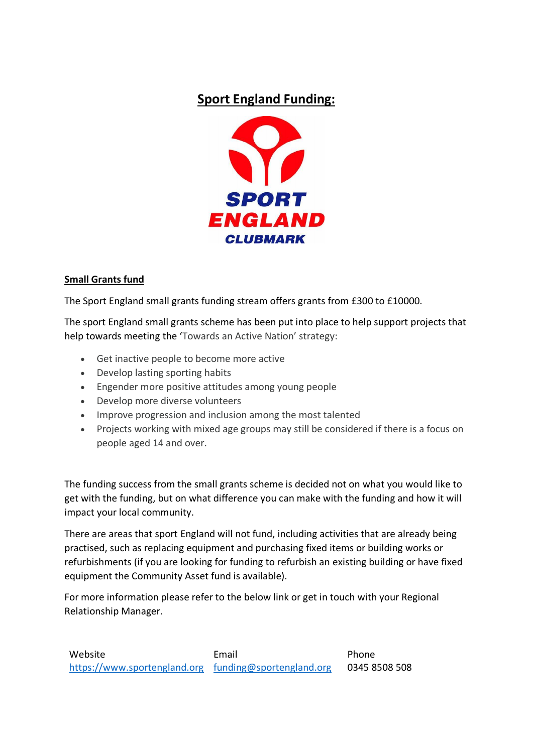# **Sport England Funding:**



# **Small Grants fund**

The Sport England small grants funding stream offers grants from £300 to £10000.

The sport England small grants scheme has been put into place to help support projects that help towards meeting the 'Towards an Active Nation' strategy:

- Get inactive people to become more active
- Develop lasting sporting habits
- Engender more positive attitudes among young people
- Develop more diverse volunteers
- Improve progression and inclusion among the most talented
- Projects working with mixed age groups may still be considered if there is a focus on people aged 14 and over.

The funding success from the small grants scheme is decided not on what you would like to get with the funding, but on what difference you can make with the funding and how it will impact your local community.

There are areas that sport England will not fund, including activities that are already being practised, such as replacing equipment and purchasing fixed items or building works or refurbishments (if you are looking for funding to refurbish an existing building or have fixed equipment the Community Asset fund is available).

For more information please refer to the below link or get in touch with your Regional Relationship Manager.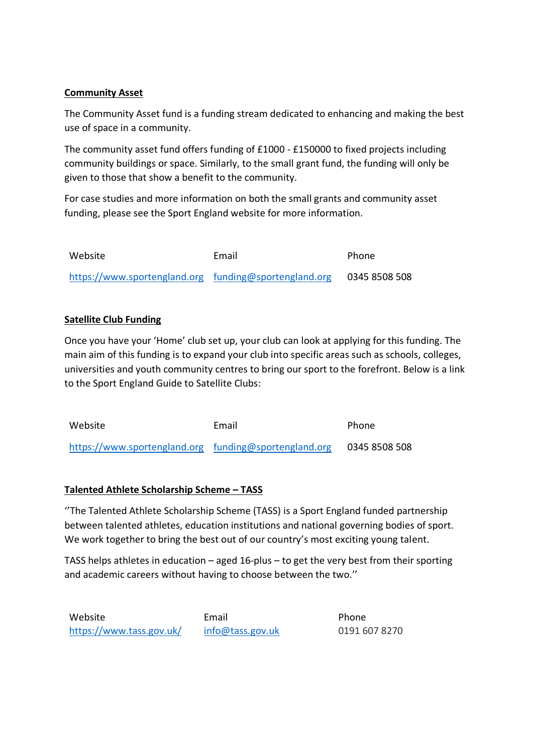# **Community Asset**

The Community Asset fund is a funding stream dedicated to enhancing and making the best use of space in a community.

The community asset fund offers funding of £1000 - £150000 to fixed projects including community buildings or space. Similarly, to the small grant fund, the funding will only be given to those that show a benefit to the community.

For case studies and more information on both the small grants and community asset funding, please see the Sport England website for more information.

| Website                                               | Email | <b>Phone</b>  |
|-------------------------------------------------------|-------|---------------|
| https://www.sportengland.org funding@sportengland.org |       | 0345 8508 508 |

# **Satellite Club Funding**

Once you have your 'Home' club set up, your club can look at applying for this funding. The main aim of this funding is to expand your club into specific areas such as schools, colleges, universities and youth community centres to bring our sport to the forefront. Below is a link to the Sport England Guide to Satellite Clubs:

Website **Email** Phone [https://www.sportengland.org](https://www.sportengland.org/) [funding@sportengland.org](mailto:funding@sportengland.org) 0345 8508 508

## **Talented Athlete Scholarship Scheme – TASS**

''The Talented Athlete Scholarship Scheme (TASS) is a Sport England funded partnership between talented athletes, education institutions and national governing bodies of sport. We work together to bring the best out of our country's most exciting young talent.

TASS helps athletes in education – aged 16-plus – to get the very best from their sporting and academic careers without having to choose between the two.''

Website **Email** Phone <https://www.tass.gov.uk/> [info@tass.gov.uk](mailto:info@tass.gov.uk) 0191 607 8270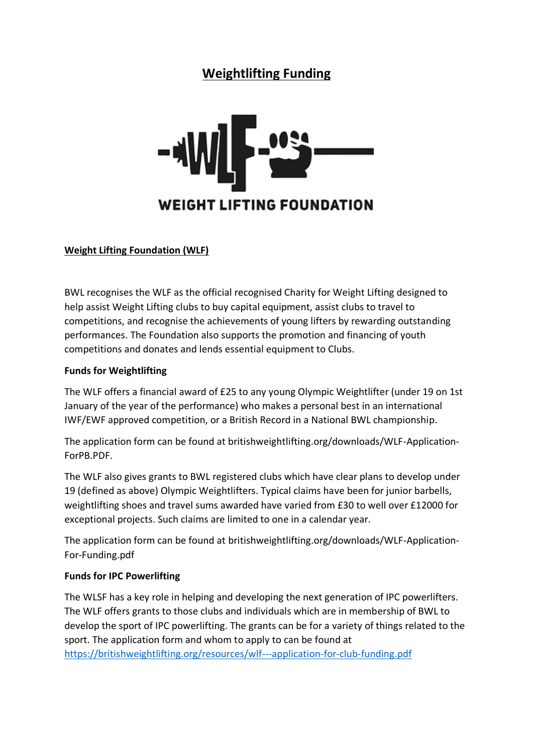# **Weightlifting Funding**



## **Weight Lifting Foundation (WLF)**

BWL recognises the WLF as the official recognised Charity for Weight Lifting designed to help assist Weight Lifting clubs to buy capital equipment, assist clubs to travel to competitions, and recognise the achievements of young lifters by rewarding outstanding performances. The Foundation also supports the promotion and financing of youth competitions and donates and lends essential equipment to Clubs.

### **Funds for Weightlifting**

The WLF offers a financial award of £25 to any young Olympic Weightlifter (under 19 on 1st January of the year of the performance) who makes a personal best in an international IWF/EWF approved competition, or a British Record in a National BWL championship.

The application form can be found at britishweightlifting.org/downloads/WLF-Application-ForPB.PDF.

The WLF also gives grants to BWL registered clubs which have clear plans to develop under 19 (defined as above) Olympic Weightlifters. Typical claims have been for junior barbells, weightlifting shoes and travel sums awarded have varied from £30 to well over £12000 for exceptional projects. Such claims are limited to one in a calendar year.

The application form can be found at britishweightlifting.org/downloads/WLF-Application-For-Funding.pdf

### **Funds for IPC Powerlifting**

The WLSF has a key role in helping and developing the next generation of IPC powerlifters. The WLF offers grants to those clubs and individuals which are in membership of BWL to develop the sport of IPC powerlifting. The grants can be for a variety of things related to the sport. The application form and whom to apply to can be found at <https://britishweightlifting.org/resources/wlf---application-for-club-funding.pdf>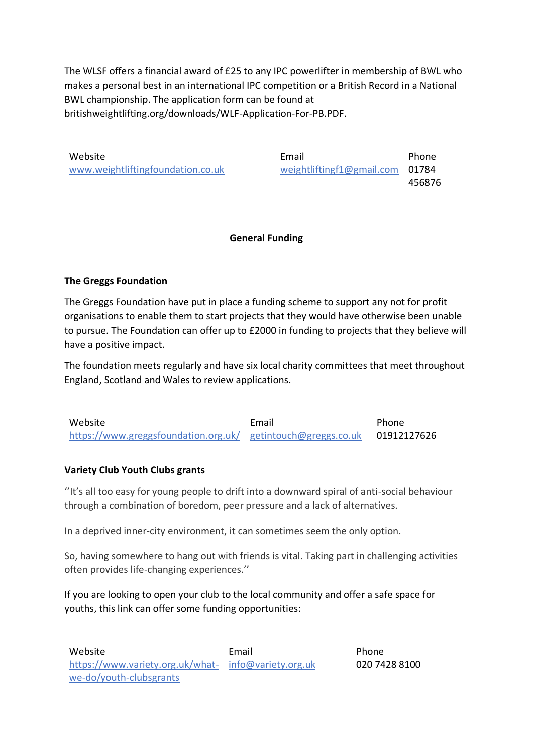The WLSF offers a financial award of £25 to any IPC powerlifter in membership of BWL who makes a personal best in an international IPC competition or a British Record in a National BWL championship. The application form can be found at britishweightlifting.org/downloads/WLF-Application-For-PB.PDF.

Website **Email** Phone [www.weightliftingfoundation.co.uk](http://www.weightliftingfoundation.co.uk/) [weightliftingf1@gmail.com](mailto:weightliftingf1@gmail.com) 01784 456876

## **General Funding**

## **The Greggs Foundation**

The Greggs Foundation have put in place a funding scheme to support any not for profit organisations to enable them to start projects that they would have otherwise been unable to pursue. The Foundation can offer up to £2000 in funding to projects that they believe will have a positive impact.

The foundation meets regularly and have six local charity committees that meet throughout England, Scotland and Wales to review applications.

| Website                                                      | Email | Phone       |
|--------------------------------------------------------------|-------|-------------|
| https://www.greggsfoundation.org.uk/ getintouch@greggs.co.uk |       | 01912127626 |

### **Variety Club Youth Clubs grants**

''It's all too easy for young people to drift into a downward spiral of anti-social behaviour through a combination of boredom, peer pressure and a lack of alternatives.

In a deprived inner-city environment, it can sometimes seem the only option.

So, having somewhere to hang out with friends is vital. Taking part in challenging activities often provides life-changing experiences.''

If you are looking to open your club to the local community and offer a safe space for youths, this link can offer some funding opportunities: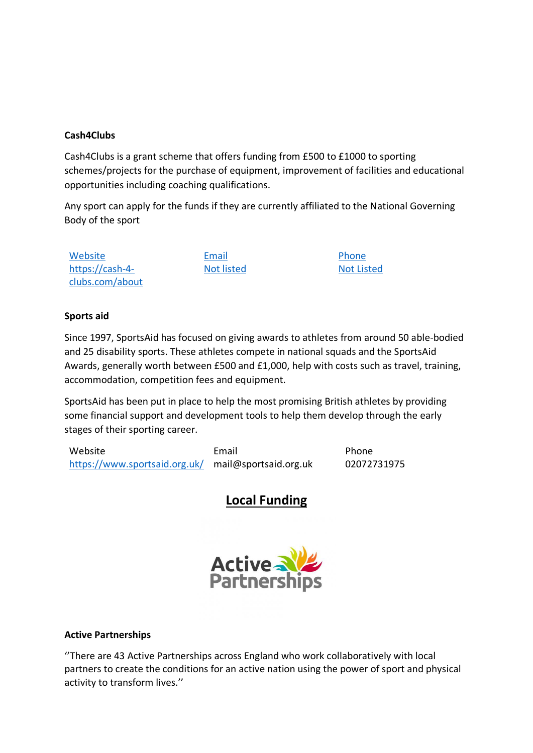## **Cash4Clubs**

Cash4Clubs is a grant scheme that offers funding from £500 to £1000 to sporting schemes/projects for the purchase of equipment, improvement of facilities and educational opportunities including coaching qualifications.

Any sport can apply for the funds if they are currently affiliated to the National Governing Body of the sport

Website **Email** Email Phone [https://cash-4](https://cash-4-clubs.com/about%20%0d9) [clubs.com/about](https://cash-4-clubs.com/about%20%0d9)

Not listed Not Listed

### **Sports aid**

Since 1997, SportsAid has focused on giving awards to athletes from around 50 able-bodied and 25 disability sports. These athletes compete in national squads and the SportsAid Awards, generally worth between £500 and £1,000, help with costs such as travel, training, accommodation, competition fees and equipment.

SportsAid has been put in place to help the most promising British athletes by providing some financial support and development tools to help them develop through the early stages of their sporting career.

Website **Email** Phone <https://www.sportsaid.org.uk/> mail@sportsaid.org.uk 02072731975

# **Local Funding**



#### **Active Partnerships**

''There are 43 Active Partnerships across England who work collaboratively with local partners to create the conditions for an active nation using the power of sport and physical activity to transform lives.''